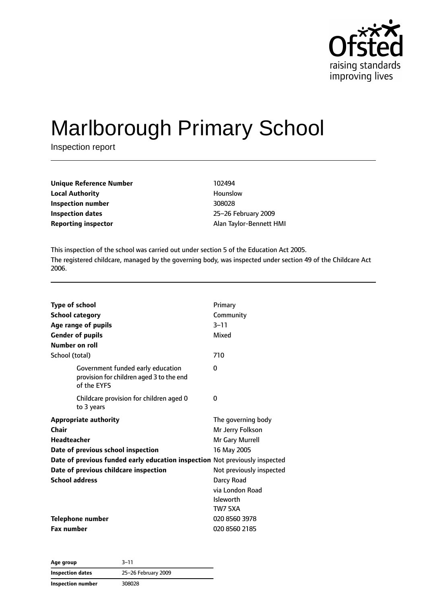

# Marlborough Primary School

Inspection report

| <b>Unique Reference Number</b> | 102494                  |
|--------------------------------|-------------------------|
| <b>Local Authority</b>         | Hounslow                |
| Inspection number              | 308028                  |
| Inspection dates               | 25-26 February 2009     |
| <b>Reporting inspector</b>     | Alan Taylor-Bennett HMI |

This inspection of the school was carried out under section 5 of the Education Act 2005. The registered childcare, managed by the governing body, was inspected under section 49 of the Childcare Act 2006.

| <b>Type of school</b><br><b>School category</b><br>Age range of pupils<br><b>Gender of pupils</b><br>Number on roll<br>School (total)                                                                                                              | Primary<br>Community<br>$3 - 11$<br>Mixed<br>710                                                                                                                     |
|----------------------------------------------------------------------------------------------------------------------------------------------------------------------------------------------------------------------------------------------------|----------------------------------------------------------------------------------------------------------------------------------------------------------------------|
| Government funded early education<br>provision for children aged 3 to the end<br>of the EYFS                                                                                                                                                       | 0                                                                                                                                                                    |
| Childcare provision for children aged 0<br>to 3 years                                                                                                                                                                                              | 0                                                                                                                                                                    |
| <b>Appropriate authority</b><br>Chair<br><b>Headteacher</b><br>Date of previous school inspection<br>Date of previous funded early education inspection Not previously inspected<br>Date of previous childcare inspection<br><b>School address</b> | The governing body<br>Mr Jerry Folkson<br>Mr Gary Murrell<br>16 May 2005<br>Not previously inspected<br>Darcy Road<br>via London Road<br><b>Isleworth</b><br>TW7 5XA |
| <b>Telephone number</b><br><b>Fax number</b>                                                                                                                                                                                                       | 020 8560 3978<br>020 8560 2185                                                                                                                                       |

**Age group** 3–11 **Inspection dates** 25–26 February 2009 **Inspection number** 308028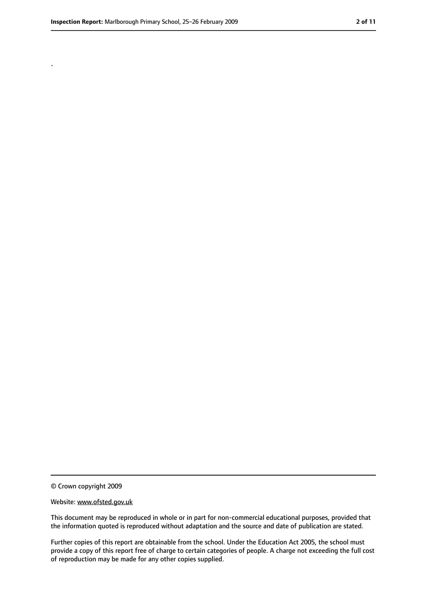.

<sup>©</sup> Crown copyright 2009

Website: www.ofsted.gov.uk

This document may be reproduced in whole or in part for non-commercial educational purposes, provided that the information quoted is reproduced without adaptation and the source and date of publication are stated.

Further copies of this report are obtainable from the school. Under the Education Act 2005, the school must provide a copy of this report free of charge to certain categories of people. A charge not exceeding the full cost of reproduction may be made for any other copies supplied.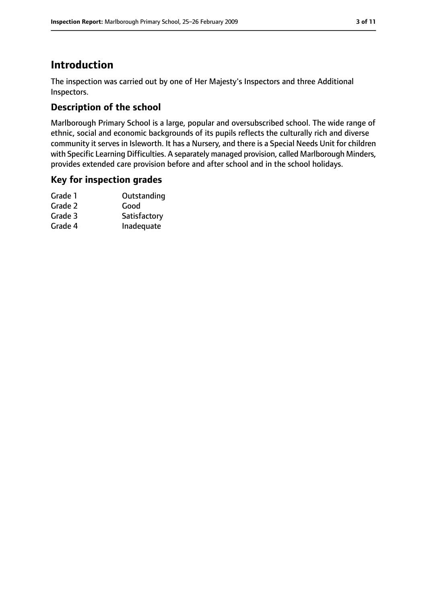### **Introduction**

The inspection was carried out by one of Her Majesty's Inspectors and three Additional Inspectors.

### **Description of the school**

Marlborough Primary School is a large, popular and oversubscribed school. The wide range of ethnic, social and economic backgrounds of its pupils reflects the culturally rich and diverse community it serves in Isleworth. It has a Nursery, and there is a Special Needs Unit for children with Specific Learning Difficulties. A separately managed provision, called Marlborough Minders, provides extended care provision before and after school and in the school holidays.

#### **Key for inspection grades**

| Grade 1 | Outstanding  |
|---------|--------------|
| Grade 2 | Good         |
| Grade 3 | Satisfactory |
| Grade 4 | Inadequate   |
|         |              |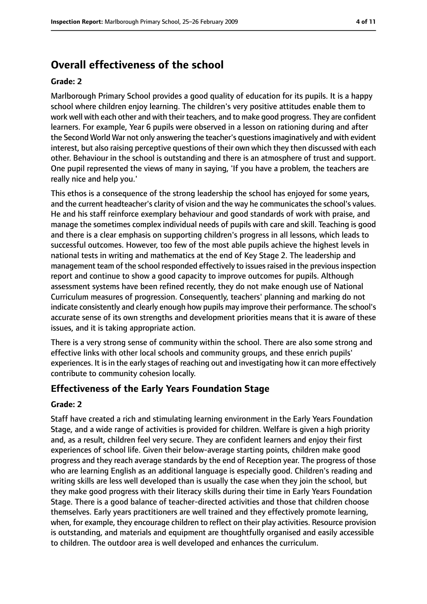### **Overall effectiveness of the school**

#### **Grade: 2**

Marlborough Primary School provides a good quality of education for its pupils. It is a happy school where children enjoy learning. The children's very positive attitudes enable them to work well with each other and with their teachers, and to make good progress. They are confident learners. For example, Year 6 pupils were observed in a lesson on rationing during and after the Second World War not only answering the teacher's questionsimaginatively and with evident interest, but also raising perceptive questions of their own which they then discussed with each other. Behaviour in the school is outstanding and there is an atmosphere of trust and support. One pupil represented the views of many in saying, 'If you have a problem, the teachers are really nice and help you.'

This ethos is a consequence of the strong leadership the school has enjoyed for some years, and the current headteacher's clarity of vision and the way he communicates the school's values. He and his staff reinforce exemplary behaviour and good standards of work with praise, and manage the sometimes complex individual needs of pupils with care and skill. Teaching is good and there is a clear emphasis on supporting children's progress in all lessons, which leads to successful outcomes. However, too few of the most able pupils achieve the highest levels in national tests in writing and mathematics at the end of Key Stage 2. The leadership and management team of the school responded effectively to issues raised in the previous inspection report and continue to show a good capacity to improve outcomes for pupils. Although assessment systems have been refined recently, they do not make enough use of National Curriculum measures of progression. Consequently, teachers' planning and marking do not indicate consistently and clearly enough how pupils may improve their performance. The school's accurate sense of its own strengths and development priorities means that it is aware of these issues, and it is taking appropriate action.

There is a very strong sense of community within the school. There are also some strong and effective links with other local schools and community groups, and these enrich pupils' experiences. It is in the early stages of reaching out and investigating how it can more effectively contribute to community cohesion locally.

#### **Effectiveness of the Early Years Foundation Stage**

#### **Grade: 2**

Staff have created a rich and stimulating learning environment in the Early Years Foundation Stage, and a wide range of activities is provided for children. Welfare is given a high priority and, as a result, children feel very secure. They are confident learners and enjoy their first experiences of school life. Given their below-average starting points, children make good progress and they reach average standards by the end of Reception year. The progress of those who are learning English as an additional language is especially good. Children's reading and writing skills are less well developed than is usually the case when they join the school, but they make good progress with their literacy skills during their time in Early Years Foundation Stage. There is a good balance of teacher-directed activities and those that children choose themselves. Early years practitioners are well trained and they effectively promote learning, when, for example, they encourage children to reflect on their play activities. Resource provision is outstanding, and materials and equipment are thoughtfully organised and easily accessible to children. The outdoor area is well developed and enhances the curriculum.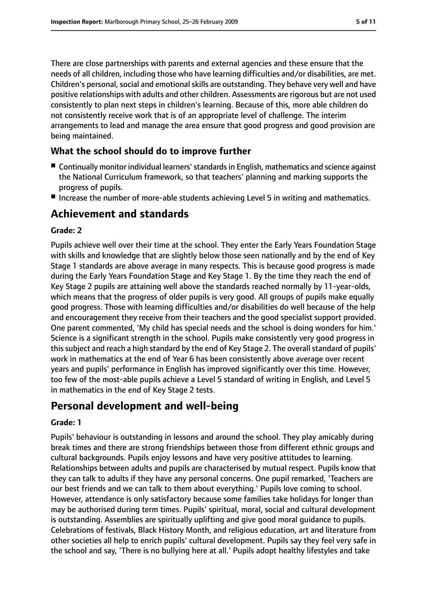There are close partnerships with parents and external agencies and these ensure that the needs of all children, including those who have learning difficulties and/or disabilities, are met. Children's personal, social and emotional skills are outstanding. They behave very well and have positive relationships with adults and other children. Assessments are rigorous but are not used consistently to plan next steps in children's learning. Because of this, more able children do not consistently receive work that is of an appropriate level of challenge. The interim arrangements to lead and manage the area ensure that good progress and good provision are being maintained.

#### **What the school should do to improve further**

- Continually monitor individual learners' standards in English, mathematics and science against the National Curriculum framework, so that teachers' planning and marking supports the progress of pupils.
- Increase the number of more-able students achieving Level 5 in writing and mathematics.

### **Achievement and standards**

#### **Grade: 2**

Pupils achieve well over their time at the school. They enter the Early Years Foundation Stage with skills and knowledge that are slightly below those seen nationally and by the end of Key Stage 1 standards are above average in many respects. This is because good progress is made during the Early Years Foundation Stage and Key Stage 1. By the time they reach the end of Key Stage 2 pupils are attaining well above the standards reached normally by 11-year-olds, which means that the progress of older pupils is very good. All groups of pupils make equally good progress. Those with learning difficulties and/or disabilities do well because of the help and encouragement they receive from their teachers and the good specialist support provided. One parent commented, 'My child has special needs and the school is doing wonders for him.' Science is a significant strength in the school. Pupils make consistently very good progress in this subject and reach a high standard by the end of Key Stage 2. The overall standard of pupils' work in mathematics at the end of Year 6 has been consistently above average over recent years and pupils' performance in English has improved significantly over this time. However, too few of the most-able pupils achieve a Level 5 standard of writing in English, and Level 5 in mathematics in the end of Key Stage 2 tests.

### **Personal development and well-being**

#### **Grade: 1**

Pupils' behaviour is outstanding in lessons and around the school. They play amicably during break times and there are strong friendships between those from different ethnic groups and cultural backgrounds. Pupils enjoy lessons and have very positive attitudes to learning. Relationships between adults and pupils are characterised by mutual respect. Pupils know that they can talk to adults if they have any personal concerns. One pupil remarked, 'Teachers are our best friends and we can talk to them about everything.' Pupils love coming to school. However, attendance is only satisfactory because some families take holidays for longer than may be authorised during term times. Pupils' spiritual, moral, social and cultural development is outstanding. Assemblies are spiritually uplifting and give good moral guidance to pupils. Celebrations of festivals, Black History Month, and religious education, art and literature from other societies all help to enrich pupils' cultural development. Pupils say they feel very safe in the school and say, 'There is no bullying here at all.' Pupils adopt healthy lifestyles and take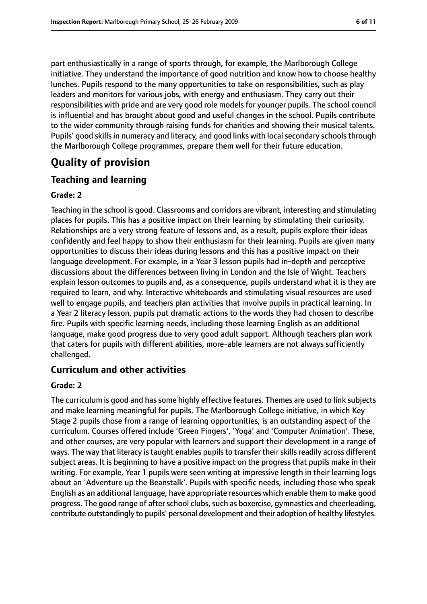part enthusiastically in a range of sports through, for example, the Marlborough College initiative. They understand the importance of good nutrition and know how to choose healthy lunches. Pupils respond to the many opportunities to take on responsibilities, such as play leaders and monitors for various jobs, with energy and enthusiasm. They carry out their responsibilities with pride and are very good role models for younger pupils. The school council is influential and has brought about good and useful changes in the school. Pupils contribute to the wider community through raising funds for charities and showing their musical talents. Pupils' good skills in numeracy and literacy, and good links with local secondary schools through the Marlborough College programmes, prepare them well for their future education.

## **Quality of provision**

### **Teaching and learning**

#### **Grade: 2**

Teaching in the school is good. Classrooms and corridors are vibrant, interesting and stimulating places for pupils. This has a positive impact on their learning by stimulating their curiosity. Relationships are a very strong feature of lessons and, as a result, pupils explore their ideas confidently and feel happy to show their enthusiasm for their learning. Pupils are given many opportunities to discuss their ideas during lessons and this has a positive impact on their language development. For example, in a Year 3 lesson pupils had in-depth and perceptive discussions about the differences between living in London and the Isle of Wight. Teachers explain lesson outcomes to pupils and, as a consequence, pupils understand what it is they are required to learn, and why. Interactive whiteboards and stimulating visual resources are used well to engage pupils, and teachers plan activities that involve pupils in practical learning. In a Year 2 literacy lesson, pupils put dramatic actions to the words they had chosen to describe fire. Pupils with specific learning needs, including those learning English as an additional language, make good progress due to very good adult support. Although teachers plan work that caters for pupils with different abilities, more-able learners are not always sufficiently challenged.

### **Curriculum and other activities**

#### **Grade: 2**

The curriculum is good and has some highly effective features. Themes are used to link subjects and make learning meaningful for pupils. The Marlborough College initiative, in which Key Stage 2 pupils chose from a range of learning opportunities, is an outstanding aspect of the curriculum. Courses offered include 'Green Fingers', 'Yoga' and 'Computer Animation'. These, and other courses, are very popular with learners and support their development in a range of ways. The way that literacy is taught enables pupils to transfer their skills readily across different subject areas. It is beginning to have a positive impact on the progress that pupils make in their writing. For example, Year 1 pupils were seen writing at impressive length in their learning logs about an 'Adventure up the Beanstalk'. Pupils with specific needs, including those who speak English as an additional language, have appropriate resources which enable them to make good progress. The good range of after school clubs, such as boxercise, gymnastics and cheerleading, contribute outstandingly to pupils' personal development and their adoption of healthy lifestyles.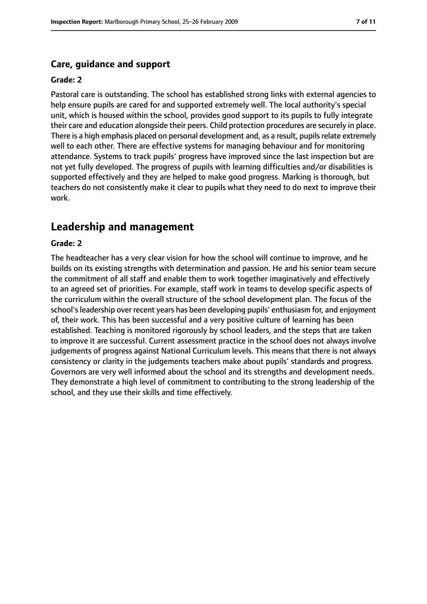#### **Care, guidance and support**

#### **Grade: 2**

Pastoral care is outstanding. The school has established strong links with external agencies to help ensure pupils are cared for and supported extremely well. The local authority's special unit, which is housed within the school, provides good support to its pupils to fully integrate their care and education alongside their peers. Child protection procedures are securely in place. There is a high emphasis placed on personal development and, as a result, pupils relate extremely well to each other. There are effective systems for managing behaviour and for monitoring attendance. Systems to track pupils' progress have improved since the last inspection but are not yet fully developed. The progress of pupils with learning difficulties and/or disabilities is supported effectively and they are helped to make good progress. Marking is thorough, but teachers do not consistently make it clear to pupils what they need to do next to improve their work.

#### **Leadership and management**

#### **Grade: 2**

The headteacher has a very clear vision for how the school will continue to improve, and he builds on its existing strengths with determination and passion. He and his senior team secure the commitment of all staff and enable them to work together imaginatively and effectively to an agreed set of priorities. For example, staff work in teams to develop specific aspects of the curriculum within the overall structure of the school development plan. The focus of the school's leadership over recent years has been developing pupils' enthusiasm for, and enjoyment of, their work. This has been successful and a very positive culture of learning has been established. Teaching is monitored rigorously by school leaders, and the steps that are taken to improve it are successful. Current assessment practice in the school does not always involve judgements of progress against National Curriculum levels. This means that there is not always consistency or clarity in the judgements teachers make about pupils' standards and progress. Governors are very well informed about the school and its strengths and development needs. They demonstrate a high level of commitment to contributing to the strong leadership of the school, and they use their skills and time effectively.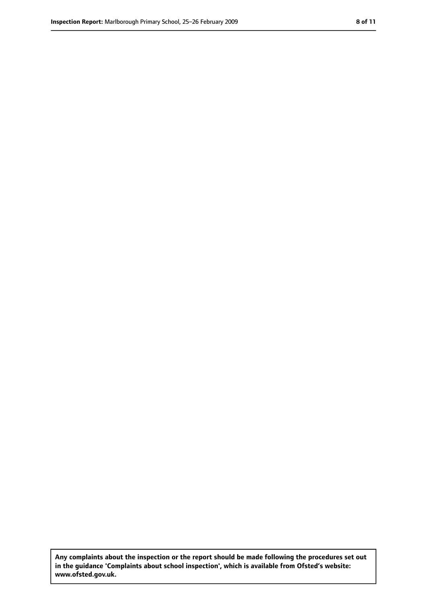**Any complaints about the inspection or the report should be made following the procedures set out in the guidance 'Complaints about school inspection', which is available from Ofsted's website: www.ofsted.gov.uk.**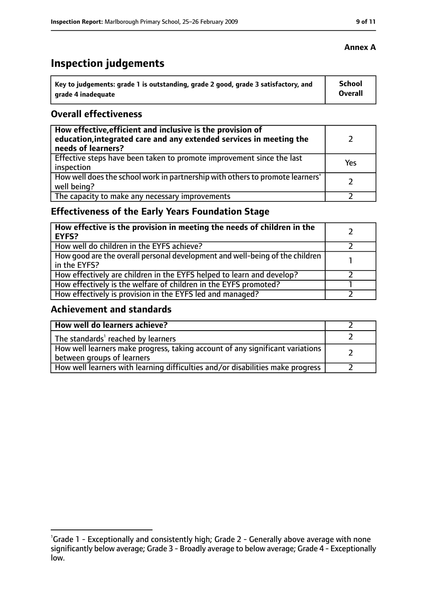### **Inspection judgements**

| Key to judgements: grade 1 is outstanding, grade 2 good, grade 3 satisfactory, and | School  |
|------------------------------------------------------------------------------------|---------|
| arade 4 inadequate                                                                 | Overall |

#### **Overall effectiveness**

| How effective, efficient and inclusive is the provision of<br>education, integrated care and any extended services in meeting the<br>needs of learners? |     |
|---------------------------------------------------------------------------------------------------------------------------------------------------------|-----|
| Effective steps have been taken to promote improvement since the last<br>inspection                                                                     | Yes |
| How well does the school work in partnership with others to promote learners'<br>well being?                                                            |     |
| The capacity to make any necessary improvements                                                                                                         |     |

### **Effectiveness of the Early Years Foundation Stage**

| How effective is the provision in meeting the needs of children in the<br><b>EYFS?</b>       |  |
|----------------------------------------------------------------------------------------------|--|
| How well do children in the EYFS achieve?                                                    |  |
| How good are the overall personal development and well-being of the children<br>in the EYFS? |  |
| How effectively are children in the EYFS helped to learn and develop?                        |  |
| How effectively is the welfare of children in the EYFS promoted?                             |  |
| How effectively is provision in the EYFS led and managed?                                    |  |

#### **Achievement and standards**

| How well do learners achieve?                                                                               |  |
|-------------------------------------------------------------------------------------------------------------|--|
| The standards <sup>1</sup> reached by learners                                                              |  |
| How well learners make progress, taking account of any significant variations<br>between groups of learners |  |
| How well learners with learning difficulties and/or disabilities make progress                              |  |

#### **Annex A**

<sup>&</sup>lt;sup>1</sup>Grade 1 - Exceptionally and consistently high; Grade 2 - Generally above average with none significantly below average; Grade 3 - Broadly average to below average; Grade 4 - Exceptionally low.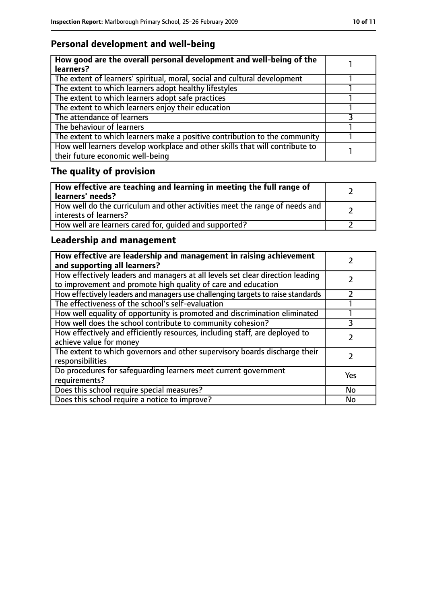### **Personal development and well-being**

| How good are the overall personal development and well-being of the<br>learners?                                 |  |
|------------------------------------------------------------------------------------------------------------------|--|
| The extent of learners' spiritual, moral, social and cultural development                                        |  |
| The extent to which learners adopt healthy lifestyles                                                            |  |
| The extent to which learners adopt safe practices                                                                |  |
| The extent to which learners enjoy their education                                                               |  |
| The attendance of learners                                                                                       |  |
| The behaviour of learners                                                                                        |  |
| The extent to which learners make a positive contribution to the community                                       |  |
| How well learners develop workplace and other skills that will contribute to<br>their future economic well-being |  |

### **The quality of provision**

| How effective are teaching and learning in meeting the full range of<br>learners' needs?              |  |
|-------------------------------------------------------------------------------------------------------|--|
| How well do the curriculum and other activities meet the range of needs and<br>interests of learners? |  |
| How well are learners cared for, quided and supported?                                                |  |

### **Leadership and management**

| How effective are leadership and management in raising achievement<br>and supporting all learners?                                              |     |
|-------------------------------------------------------------------------------------------------------------------------------------------------|-----|
| How effectively leaders and managers at all levels set clear direction leading<br>to improvement and promote high quality of care and education |     |
| How effectively leaders and managers use challenging targets to raise standards                                                                 |     |
| The effectiveness of the school's self-evaluation                                                                                               |     |
| How well equality of opportunity is promoted and discrimination eliminated                                                                      |     |
| How well does the school contribute to community cohesion?                                                                                      |     |
| How effectively and efficiently resources, including staff, are deployed to<br>achieve value for money                                          |     |
| The extent to which governors and other supervisory boards discharge their<br>responsibilities                                                  |     |
| Do procedures for safequarding learners meet current government<br>requirements?                                                                | Yes |
| Does this school require special measures?                                                                                                      | No  |
| Does this school require a notice to improve?                                                                                                   | No  |